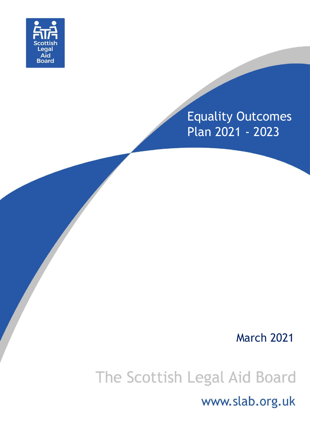

## Equality Outcomes Plan 2021 - 2023

### March 2021

# The Scottish Legal Aid Board

www.slab.org.uk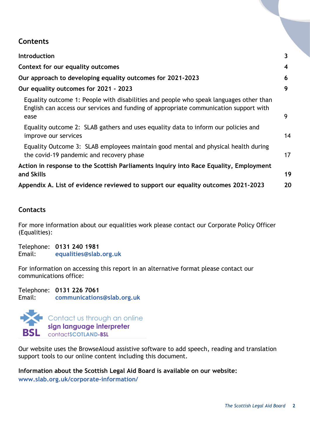#### **Contents**

| <b>Introduction</b>                                                                                                                                                                     | 3  |
|-----------------------------------------------------------------------------------------------------------------------------------------------------------------------------------------|----|
| Context for our equality outcomes                                                                                                                                                       | 4  |
| Our approach to developing equality outcomes for 2021-2023                                                                                                                              | 6  |
| Our equality outcomes for 2021 - 2023                                                                                                                                                   | 9  |
| Equality outcome 1: People with disabilities and people who speak languages other than<br>English can access our services and funding of appropriate communication support with<br>ease | 9  |
| Equality outcome 2: SLAB gathers and uses equality data to inform our policies and<br>improve our services                                                                              | 14 |
| Equality Outcome 3: SLAB employees maintain good mental and physical health during<br>the covid-19 pandemic and recovery phase                                                          | 17 |
| Action in response to the Scottish Parliaments Inquiry into Race Equality, Employment<br>and Skills                                                                                     | 19 |
| Appendix A. List of evidence reviewed to support our equality outcomes 2021-2023                                                                                                        | 20 |
|                                                                                                                                                                                         |    |

#### **Contacts**

For more information about our equalities work please contact our Corporate Policy Officer (Equalities):

Telephone: **0131 240 1981** Email: **[equalities@slab.org.uk](mailto:baggottlo@slab.org.uk)**

For information on accessing this report in an alternative format please contact our communications office:

Telephone: **0131 226 7061** Email: **[communications@slab.org.uk](mailto:communications@slab.org.uk)**



Our website uses the BrowseAloud assistive software to add speech, reading and translation support tools to our online content including this document.

**Information about the Scottish Legal Aid Board is available on our website: [www.slab.org.uk/corporate-information/](http://www.slab.org.uk/corporate-information/)**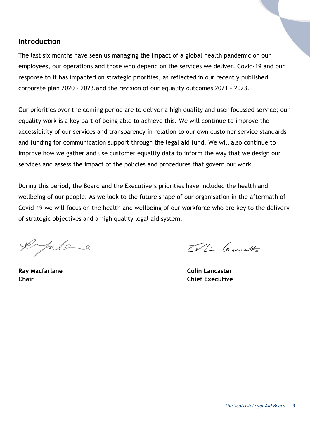#### <span id="page-2-0"></span>**Introduction**

The last six months have seen us managing the impact of a global health pandemic on our employees, our operations and those who depend on the services we deliver. Covid-19 and our response to it has impacted on strategic priorities, as reflected in our recently published corporate plan 2020 – 2023,and the revision of our equality outcomes 2021 – 2023.

Our priorities over the coming period are to deliver a high quality and user focussed service; our equality work is a key part of being able to achieve this. We will continue to improve the accessibility of our services and transparency in relation to our own customer service standards and funding for communication support through the legal aid fund. We will also continue to improve how we gather and use customer equality data to inform the way that we design our services and assess the impact of the policies and procedures that govern our work.

During this period, the Board and the Executive's priorities have included the health and wellbeing of our people. As we look to the future shape of our organisation in the aftermath of Covid-19 we will focus on the health and wellbeing of our workforce who are key to the delivery of strategic objectives and a high quality legal aid system.

Jala

Tellin Cannot

**Ray Macfarlane Colin Lancaster Chair Chief Executive**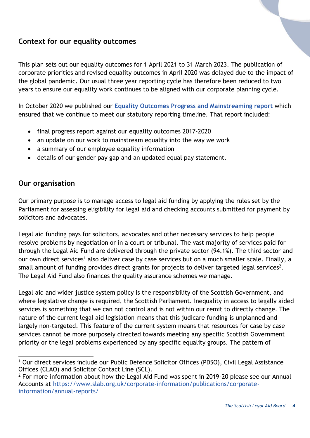#### <span id="page-3-0"></span>**Context for our equality outcomes**

This plan sets out our equality outcomes for 1 April 2021 to 31 March 2023. The publication of corporate priorities and revised equality outcomes in April 2020 was delayed due to the impact of the global pandemic. Our usual three year reporting cycle has therefore been reduced to two years to ensure our equality work continues to be aligned with our corporate planning cycle.

In October 2020 we published our **[Equality Outcomes Progress and Mainstreaming report](https://www.slab.org.uk/app/uploads/2020/10/Equalities-Mainstreaming-and-Equality-Outcomes-Progress-Report-Oct-2020-FINAL.pdf)** which ensured that we continue to meet our statutory reporting timeline. That report included:

- final progress report against our equality outcomes 2017-2020
- an update on our work to mainstream equality into the way we work
- a summary of our employee equality information
- details of our gender pay gap and an updated equal pay statement.

#### **Our organisation**

Our primary purpose is to manage access to legal aid funding by applying the rules set by the Parliament for assessing eligibility for legal aid and checking accounts submitted for payment by solicitors and advocates.

Legal aid funding pays for solicitors, advocates and other necessary services to help people resolve problems by negotiation or in a court or tribunal. The vast majority of services paid for through the Legal Aid Fund are delivered through the private sector (94.1%). The third sector and our own direct services<sup>1</sup> also deliver case by case services but on a much smaller scale. Finally, a small amount of funding provides direct grants for projects to deliver targeted legal services<sup>2</sup>. The Legal Aid Fund also finances the quality assurance schemes we manage.

Legal aid and wider justice system policy is the responsibility of the Scottish Government, and where legislative change is required, the Scottish Parliament. Inequality in access to legally aided services is something that we can not control and is not within our remit to directly change. The nature of the current legal aid legislation means that this judicare funding is unplanned and largely non-targeted. This feature of the current system means that resources for case by case services cannot be more purposely directed towards meeting any specific Scottish Government priority or the legal problems experienced by any specific equality groups. The pattern of

l <sup>1</sup> Our direct services include our Public Defence Solicitor Offices (PDSO), Civil Legal Assistance Offices (CLAO) and Solicitor Contact Line (SCL).

 $2$  For more information about how the Legal Aid Fund was spent in 2019-20 please see our Annual Accounts at [https://www.slab.org.uk/corporate-information/publications/corporate](https://www.slab.org.uk/corporate-information/publications/corporate-information/annual-reports/)[information/annual-reports/](https://www.slab.org.uk/corporate-information/publications/corporate-information/annual-reports/)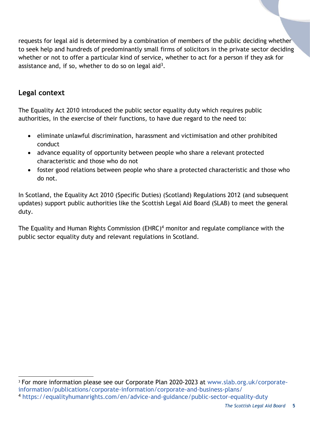requests for legal aid is determined by a combination of members of the public deciding whether to seek help and hundreds of predominantly small firms of solicitors in the private sector deciding whether or not to offer a particular kind of service, whether to act for a person if they ask for assistance and, if so, whether to do so on legal aid<sup>3</sup>.

#### **Legal context**

The Equality Act 2010 introduced the public sector equality duty which requires public authorities, in the exercise of their functions, to have due regard to the need to:

- eliminate unlawful discrimination, harassment and victimisation and other prohibited conduct
- advance equality of opportunity between people who share a relevant protected characteristic and those who do not
- foster good relations between people who share a protected characteristic and those who do not.

In Scotland, the Equality Act 2010 (Specific Duties) (Scotland) Regulations 2012 (and subsequent updates) support public authorities like the Scottish Legal Aid Board (SLAB) to meet the general duty.

The Equality and Human Rights Commission (EHRC) $4$  monitor and regulate compliance with the public sector equality duty and relevant regulations in Scotland.

l <sup>3</sup> For more information please see our Corporate Plan 2020-2023 at [www.slab.org.uk/corporate](http://www.slab.org.uk/corporate-information/publications/corporate-information/corporate-and-business-plans/)[information/publications/corporate-information/corporate-and-business-plans/](http://www.slab.org.uk/corporate-information/publications/corporate-information/corporate-and-business-plans/) <sup>4</sup> <https://equalityhumanrights.com/en/advice-and-guidance/public-sector-equality-duty>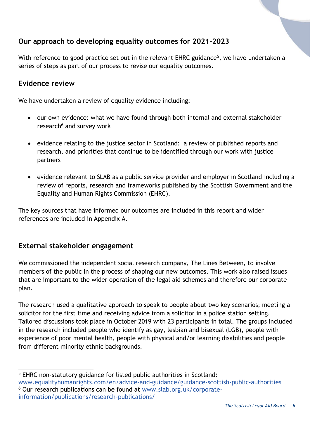#### <span id="page-5-0"></span>**Our approach to developing equality outcomes for 2021-2023**

With reference to good practice set out in the relevant EHRC guidance<sup>5</sup>, we have undertaken a series of steps as part of our process to revise our equality outcomes.

#### **Evidence review**

We have undertaken a review of equality evidence including:

- our own evidence: what we have found through both internal and external stakeholder research<sup>6</sup> and survey work
- evidence relating to the justice sector in Scotland: a review of published reports and research, and priorities that continue to be identified through our work with justice partners
- evidence relevant to SLAB as a public service provider and employer in Scotland including a review of reports, research and frameworks published by the Scottish Government and the Equality and Human Rights Commission (EHRC).

The key sources that have informed our outcomes are included in this report and wider references are included in Appendix A.

#### **External stakeholder engagement**

We commissioned the independent social research company, The Lines Between, to involve members of the public in the process of shaping our new outcomes. This work also raised issues that are important to the wider operation of the legal aid schemes and therefore our corporate plan.

The research used a qualitative approach to speak to people about two key scenarios; meeting a solicitor for the first time and receiving advice from a solicitor in a police station setting. Tailored discussions took place in October 2019 with 23 participants in total. The groups included in the research included people who identify as gay, lesbian and bisexual (LGB), people with experience of poor mental health, people with physical and/or learning disabilities and people from different minority ethnic backgrounds.

l <sup>5</sup> EHRC non-statutory guidance for listed public authorities in Scotland:

[www.equalityhumanrights.com/en/advice-and-guidance/guidance-scottish-public-authorities](http://www.equalityhumanrights.com/en/advice-and-guidance/guidance-scottish-public-authorities) <sup>6</sup> Our research publications can be found at [www.slab.org.uk/corporate](http://www.slab.org.uk/corporate-information/publications/research-publications/)[information/publications/research-publications/](http://www.slab.org.uk/corporate-information/publications/research-publications/)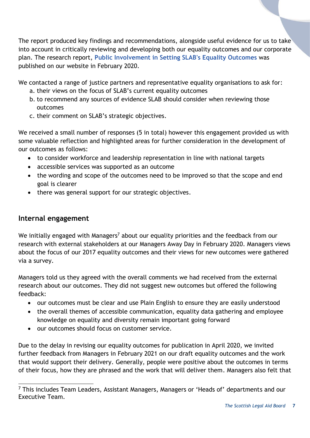The report produced key findings and recommendations, alongside useful evidence for us to take into account in critically reviewing and developing both our equality outcomes and our corporate plan. The research report, **[Public Involvement in Setting SLAB's Equality Outcomes](https://www.slab.org.uk/?download=file&file=17624)** was published on our website in February 2020.

We contacted a range of justice partners and representative equality organisations to ask for:

- a. their views on the focus of SLAB's current equality outcomes
- b. to recommend any sources of evidence SLAB should consider when reviewing those outcomes
- c. their comment on SLAB's strategic objectives.

We received a small number of responses (5 in total) however this engagement provided us with some valuable reflection and highlighted areas for further consideration in the development of our outcomes as follows:

- to consider workforce and leadership representation in line with national targets
- accessible services was supported as an outcome
- the wording and scope of the outcomes need to be improved so that the scope and end goal is clearer
- there was general support for our strategic objectives.

#### **Internal engagement**

We initially engaged with Managers<sup>7</sup> about our equality priorities and the feedback from our research with external stakeholders at our Managers Away Day in February 2020. Managers views about the focus of our 2017 equality outcomes and their views for new outcomes were gathered via a survey.

Managers told us they agreed with the overall comments we had received from the external research about our outcomes. They did not suggest new outcomes but offered the following feedback:

- our outcomes must be clear and use Plain English to ensure they are easily understood
- the overall themes of accessible communication, equality data gathering and employee knowledge on equality and diversity remain important going forward
- our outcomes should focus on customer service.

Due to the delay in revising our equality outcomes for publication in April 2020, we invited further feedback from Managers in February 2021 on our draft equality outcomes and the work that would support their delivery. Generally, people were positive about the outcomes in terms of their focus, how they are phrased and the work that will deliver them. Managers also felt that

l  $7$  This includes Team Leaders, Assistant Managers, Managers or 'Heads of' departments and our Executive Team.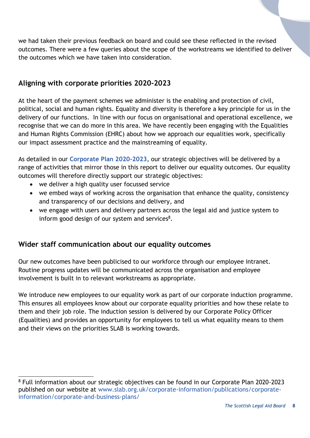we had taken their previous feedback on board and could see these reflected in the revised outcomes. There were a few queries about the scope of the workstreams we identified to deliver the outcomes which we have taken into consideration.

#### **Aligning with corporate priorities 2020-2023**

At the heart of the payment schemes we administer is the enabling and protection of civil, political, social and human rights. Equality and diversity is therefore a key principle for us in the delivery of our functions. In line with our focus on organisational and operational excellence, we recognise that we can do more in this area. We have recently been engaging with the Equalities and Human Rights Commission (EHRC) about how we approach our equalities work, specifically our impact assessment practice and the mainstreaming of equality.

As detailed in our **[Corporate Plan 2020-2023](https://www.slab.org.uk/corporate-information/publications/corporate-information/corporate-and-business-plans/)**, our strategic objectives will be delivered by a range of activities that mirror those in this report to deliver our equality outcomes. Our equality outcomes will therefore directly support our strategic objectives:

- we deliver a high quality user focussed service
- we embed ways of working across the organisation that enhance the quality, consistency and transparency of our decisions and delivery, and
- we engage with users and delivery partners across the legal aid and justice system to inform good design of our system and services<sup>8</sup>.

#### **Wider staff communication about our equality outcomes**

Our new outcomes have been publicised to our workforce through our employee intranet. Routine progress updates will be communicated across the organisation and employee involvement is built in to relevant workstreams as appropriate.

We introduce new employees to our equality work as part of our corporate induction programme. This ensures all employees know about our corporate equality priorities and how these relate to them and their job role. The induction session is delivered by our Corporate Policy Officer (Equalities) and provides an opportunity for employees to tell us what equality means to them and their views on the priorities SLAB is working towards.

l <sup>8</sup> Full information about our strategic objectives can be found in our Corporate Plan 2020-2023 published on our website at [www.slab.org.uk/corporate-information/publications/corporate](http://www.slab.org.uk/corporate-information/publications/corporate-information/corporate-and-business-plans/)[information/corporate-and-business-plans/](http://www.slab.org.uk/corporate-information/publications/corporate-information/corporate-and-business-plans/)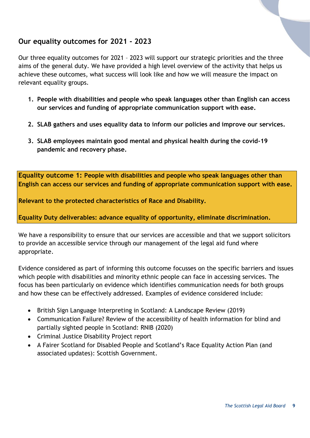#### <span id="page-8-0"></span>**Our equality outcomes for 2021 - 2023**

Our three equality outcomes for 2021 – 2023 will support our strategic priorities and the three aims of the general duty. We have provided a high level overview of the activity that helps us achieve these outcomes, what success will look like and how we will measure the impact on relevant equality groups.

- **1. People with disabilities and people who speak languages other than English can access our services and funding of appropriate communication support with ease.**
- **2. SLAB gathers and uses equality data to inform our policies and improve our services.**
- **3. SLAB employees maintain good mental and physical health during the covid-19 pandemic and recovery phase.**

<span id="page-8-1"></span>**Equality outcome 1: People with disabilities and people who speak languages other than English can access our services and funding of appropriate communication support with ease.**

**Relevant to the protected characteristics of Race and Disability.**

**Equality Duty deliverables: advance equality of opportunity, eliminate discrimination.**

We have a responsibility to ensure that our services are accessible and that we support solicitors to provide an accessible service through our management of the legal aid fund where appropriate.

Evidence considered as part of informing this outcome focusses on the specific barriers and issues which people with disabilities and minority ethnic people can face in accessing services. The focus has been particularly on evidence which identifies communication needs for both groups and how these can be effectively addressed. Examples of evidence considered include:

- British Sign Language Interpreting in Scotland: A Landscape Review (2019)
- Communication Failure? Review of the accessibility of health information for blind and partially sighted people in Scotland: RNIB (2020)
- Criminal Justice Disability Project report
- A Fairer Scotland for Disabled People and Scotland's Race Equality Action Plan (and associated updates): Scottish Government.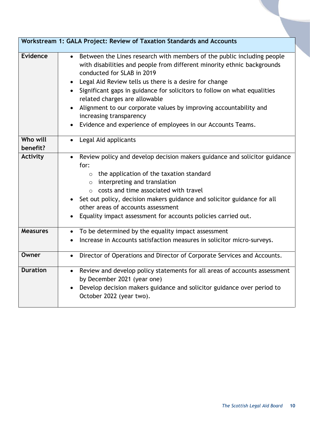| Workstream 1: GALA Project: Review of Taxation Standards and Accounts |                                                                                                                                                                                                                                                                                                                                                                                                                                                                                                                                      |
|-----------------------------------------------------------------------|--------------------------------------------------------------------------------------------------------------------------------------------------------------------------------------------------------------------------------------------------------------------------------------------------------------------------------------------------------------------------------------------------------------------------------------------------------------------------------------------------------------------------------------|
| <b>Evidence</b>                                                       | • Between the Lines research with members of the public including people<br>with disabilities and people from different minority ethnic backgrounds<br>conducted for SLAB in 2019<br>Legal Aid Review tells us there is a desire for change<br>Significant gaps in guidance for solicitors to follow on what equalities<br>related charges are allowable<br>Alignment to our corporate values by improving accountability and<br>$\bullet$<br>increasing transparency<br>Evidence and experience of employees in our Accounts Teams. |
| Who will<br>benefit?                                                  | Legal Aid applicants                                                                                                                                                                                                                                                                                                                                                                                                                                                                                                                 |
| <b>Activity</b>                                                       | Review policy and develop decision makers guidance and solicitor guidance<br>for:<br>$\circ$ the application of the taxation standard<br>$\circ$ interpreting and translation<br>$\circ$ costs and time associated with travel<br>Set out policy, decision makers guidance and solicitor guidance for all<br>other areas of accounts assessment<br>Equality impact assessment for accounts policies carried out.                                                                                                                     |
| <b>Measures</b>                                                       | To be determined by the equality impact assessment<br>$\bullet$<br>Increase in Accounts satisfaction measures in solicitor micro-surveys.                                                                                                                                                                                                                                                                                                                                                                                            |
| Owner                                                                 | Director of Operations and Director of Corporate Services and Accounts.                                                                                                                                                                                                                                                                                                                                                                                                                                                              |
| <b>Duration</b>                                                       | Review and develop policy statements for all areas of accounts assessment<br>by December 2021 (year one)<br>Develop decision makers guidance and solicitor guidance over period to<br>October 2022 (year two).                                                                                                                                                                                                                                                                                                                       |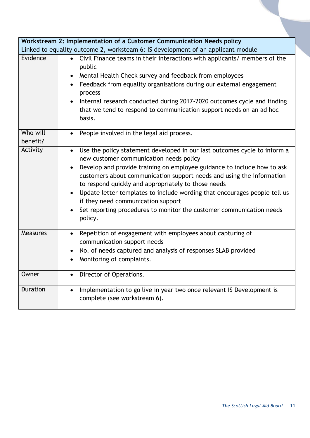|                                                                                  | Workstream 2: Implementation of a Customer Communication Needs policy                                                                                                                                                                                                                                                                                                                                                                                                                                                                                           |  |
|----------------------------------------------------------------------------------|-----------------------------------------------------------------------------------------------------------------------------------------------------------------------------------------------------------------------------------------------------------------------------------------------------------------------------------------------------------------------------------------------------------------------------------------------------------------------------------------------------------------------------------------------------------------|--|
| Linked to equality outcome 2, worksteam 6: IS development of an applicant module |                                                                                                                                                                                                                                                                                                                                                                                                                                                                                                                                                                 |  |
| Evidence                                                                         | • Civil Finance teams in their interactions with applicants/ members of the<br>public<br>Mental Health Check survey and feedback from employees<br>Feedback from equality organisations during our external engagement<br>process<br>Internal research conducted during 2017-2020 outcomes cycle and finding<br>that we tend to respond to communication support needs on an ad hoc<br>basis.                                                                                                                                                                   |  |
| Who will<br>benefit?                                                             | • People involved in the legal aid process.                                                                                                                                                                                                                                                                                                                                                                                                                                                                                                                     |  |
| Activity                                                                         | Use the policy statement developed in our last outcomes cycle to inform a<br>$\bullet$<br>new customer communication needs policy<br>Develop and provide training on employee guidance to include how to ask<br>$\bullet$<br>customers about communication support needs and using the information<br>to respond quickly and appropriately to those needs<br>Update letter templates to include wording that encourages people tell us<br>if they need communication support<br>Set reporting procedures to monitor the customer communication needs<br>policy. |  |
| <b>Measures</b>                                                                  | Repetition of engagement with employees about capturing of<br>$\bullet$<br>communication support needs<br>No. of needs captured and analysis of responses SLAB provided<br>$\bullet$<br>Monitoring of complaints.                                                                                                                                                                                                                                                                                                                                               |  |
| Owner                                                                            | Director of Operations.                                                                                                                                                                                                                                                                                                                                                                                                                                                                                                                                         |  |
| Duration                                                                         | Implementation to go live in year two once relevant IS Development is<br>$\bullet$<br>complete (see workstream 6).                                                                                                                                                                                                                                                                                                                                                                                                                                              |  |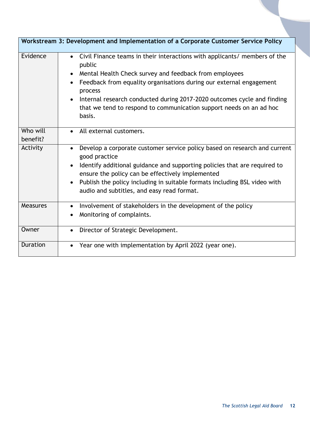| Workstream 3: Development and Implementation of a Corporate Customer Service Policy |                                                                                                                                                                                                                                                                                                                                                                                                          |  |
|-------------------------------------------------------------------------------------|----------------------------------------------------------------------------------------------------------------------------------------------------------------------------------------------------------------------------------------------------------------------------------------------------------------------------------------------------------------------------------------------------------|--|
| Evidence                                                                            | Civil Finance teams in their interactions with applicants/ members of the<br>$\bullet$<br>public<br>Mental Health Check survey and feedback from employees<br>Feedback from equality organisations during our external engagement<br>process<br>Internal research conducted during 2017-2020 outcomes cycle and finding<br>that we tend to respond to communication support needs on an ad hoc<br>basis. |  |
| Who will<br>benefit?                                                                | • All external customers.                                                                                                                                                                                                                                                                                                                                                                                |  |
| Activity                                                                            | Develop a corporate customer service policy based on research and current<br>$\bullet$<br>good practice<br>Identify additional guidance and supporting policies that are required to<br>$\bullet$<br>ensure the policy can be effectively implemented<br>Publish the policy including in suitable formats including BSL video with<br>audio and subtitles, and easy read format.                         |  |
| <b>Measures</b>                                                                     | Involvement of stakeholders in the development of the policy<br>$\bullet$<br>Monitoring of complaints.                                                                                                                                                                                                                                                                                                   |  |
| Owner                                                                               | Director of Strategic Development.<br>$\bullet$                                                                                                                                                                                                                                                                                                                                                          |  |
| <b>Duration</b>                                                                     | Year one with implementation by April 2022 (year one).                                                                                                                                                                                                                                                                                                                                                   |  |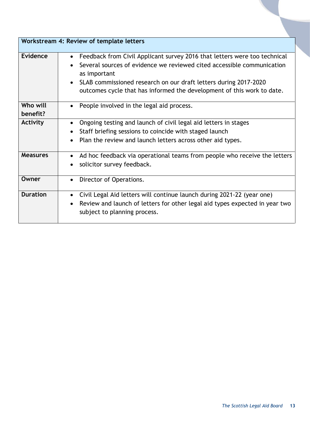<span id="page-12-0"></span>

| Workstream 4: Review of template letters |                                                                                                     |
|------------------------------------------|-----------------------------------------------------------------------------------------------------|
| Evidence                                 | Feedback from Civil Applicant survey 2016 that letters were too technical<br>$\bullet$              |
|                                          | Several sources of evidence we reviewed cited accessible communication<br>$\bullet$<br>as important |
|                                          | SLAB commissioned research on our draft letters during 2017-2020<br>$\bullet$                       |
|                                          | outcomes cycle that has informed the development of this work to date.                              |
| Who will<br>benefit?                     | People involved in the legal aid process.<br>$\bullet$                                              |
| <b>Activity</b>                          | Ongoing testing and launch of civil legal aid letters in stages<br>$\bullet$                        |
|                                          | Staff briefing sessions to coincide with staged launch<br>$\bullet$                                 |
|                                          | Plan the review and launch letters across other aid types.<br>$\bullet$                             |
|                                          |                                                                                                     |
| <b>Measures</b>                          | Ad hoc feedback via operational teams from people who receive the letters<br>$\bullet$              |
|                                          | solicitor survey feedback.                                                                          |
| Owner                                    | Director of Operations.<br>$\bullet$                                                                |
| <b>Duration</b>                          | Civil Legal Aid letters will continue launch during 2021-22 (year one)<br>$\bullet$                 |
|                                          | Review and launch of letters for other legal aid types expected in year two<br>$\bullet$            |
|                                          | subject to planning process.                                                                        |
|                                          |                                                                                                     |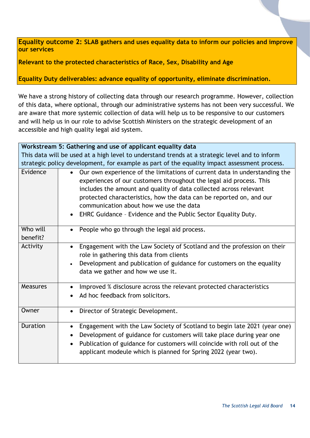**Equality outcome 2: SLAB gathers and uses equality data to inform our policies and improve our services**

**Relevant to the protected characteristics of Race, Sex, Disability and Age**

**Equality Duty deliverables: advance equality of opportunity, eliminate discrimination.**

We have a strong history of collecting data through our research programme. However, collection of this data, where optional, through our administrative systems has not been very successful. We are aware that more systemic collection of data will help us to be responsive to our customers and will help us in our role to advise Scottish Ministers on the strategic development of an accessible and high quality legal aid system.

| Workstream 5: Gathering and use of applicant equality data                                     |                                                                                                                                                                                                                                                                                                                                                                                                                        |
|------------------------------------------------------------------------------------------------|------------------------------------------------------------------------------------------------------------------------------------------------------------------------------------------------------------------------------------------------------------------------------------------------------------------------------------------------------------------------------------------------------------------------|
| This data will be used at a high level to understand trends at a strategic level and to inform |                                                                                                                                                                                                                                                                                                                                                                                                                        |
| strategic policy development, for example as part of the equality impact assessment process.   |                                                                                                                                                                                                                                                                                                                                                                                                                        |
| Evidence                                                                                       | Our own experience of the limitations of current data in understanding the<br>$\bullet$<br>experiences of our customers throughout the legal aid process. This<br>includes the amount and quality of data collected across relevant<br>protected characteristics, how the data can be reported on, and our<br>communication about how we use the data<br>EHRC Guidance - Evidence and the Public Sector Equality Duty. |
| Who will<br>benefit?                                                                           | People who go through the legal aid process.                                                                                                                                                                                                                                                                                                                                                                           |
| Activity                                                                                       | Engagement with the Law Society of Scotland and the profession on their<br>$\bullet$<br>role in gathering this data from clients<br>Development and publication of guidance for customers on the equality<br>data we gather and how we use it.                                                                                                                                                                         |
| <b>Measures</b>                                                                                | Improved % disclosure across the relevant protected characteristics<br>Ad hoc feedback from solicitors.                                                                                                                                                                                                                                                                                                                |
| Owner                                                                                          | Director of Strategic Development.<br>$\bullet$                                                                                                                                                                                                                                                                                                                                                                        |
| <b>Duration</b>                                                                                | Engagement with the Law Society of Scotland to begin late 2021 (year one)<br>$\bullet$<br>Development of guidance for customers will take place during year one<br>$\bullet$<br>Publication of guidance for customers will coincide with roll out of the<br>$\bullet$<br>applicant modeule which is planned for Spring 2022 (year two).                                                                                |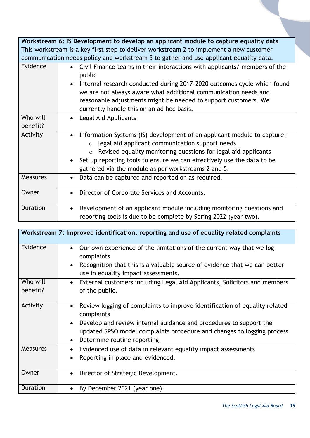|                                                                                         | Workstream 6: IS Development to develop an applicant module to capture equality data                                                                                                                                                                                                                                                                             |  |
|-----------------------------------------------------------------------------------------|------------------------------------------------------------------------------------------------------------------------------------------------------------------------------------------------------------------------------------------------------------------------------------------------------------------------------------------------------------------|--|
| This workstream is a key first step to deliver workstream 2 to implement a new customer |                                                                                                                                                                                                                                                                                                                                                                  |  |
|                                                                                         | communication needs policy and workstream 5 to gather and use applicant equality data.                                                                                                                                                                                                                                                                           |  |
| Evidence                                                                                | Civil Finance teams in their interactions with applicants/ members of the<br>$\bullet$<br>public<br>Internal research conducted during 2017-2020 outcomes cycle which found<br>we are not always aware what additional communication needs and<br>reasonable adjustments might be needed to support customers. We                                                |  |
|                                                                                         | currently handle this on an ad hoc basis.                                                                                                                                                                                                                                                                                                                        |  |
| Who will                                                                                | Legal Aid Applicants<br>$\bullet$                                                                                                                                                                                                                                                                                                                                |  |
| benefit?                                                                                |                                                                                                                                                                                                                                                                                                                                                                  |  |
| Activity                                                                                | Information Systems (IS) development of an applicant module to capture:<br>$\bullet$<br>legal aid applicant communication support needs<br>$\circ$<br>Revised equality monitoring questions for legal aid applicants<br>$\circ$<br>Set up reporting tools to ensure we can effectively use the data to be<br>gathered via the module as per workstreams 2 and 5. |  |
| <b>Measures</b>                                                                         | Data can be captured and reported on as required.<br>$\bullet$                                                                                                                                                                                                                                                                                                   |  |
| Owner                                                                                   | Director of Corporate Services and Accounts.<br>$\bullet$                                                                                                                                                                                                                                                                                                        |  |
| Duration                                                                                | Development of an applicant module including monitoring questions and<br>reporting tools is due to be complete by Spring 2022 (year two).                                                                                                                                                                                                                        |  |

| Workstream 7: Improved identification, reporting and use of equality related complaints |                                                                                                                                                                                                                                                                                                                 |
|-----------------------------------------------------------------------------------------|-----------------------------------------------------------------------------------------------------------------------------------------------------------------------------------------------------------------------------------------------------------------------------------------------------------------|
| Evidence                                                                                | Our own experience of the limitations of the current way that we log<br>$\bullet$<br>complaints<br>Recognition that this is a valuable source of evidence that we can better<br>$\bullet$<br>use in equality impact assessments.                                                                                |
| Who will                                                                                | External customers including Legal Aid Applicants, Solicitors and members<br>$\bullet$                                                                                                                                                                                                                          |
| benefit?                                                                                | of the public.                                                                                                                                                                                                                                                                                                  |
| Activity                                                                                | Review logging of complaints to improve identification of equality related<br>$\bullet$<br>complaints<br>Develop and review internal guidance and procedures to support the<br>$\bullet$<br>updated SPSO model complaints procedure and changes to logging process<br>Determine routine reporting.<br>$\bullet$ |
| <b>Measures</b>                                                                         | Evidenced use of data in relevant equality impact assessments<br>$\bullet$<br>Reporting in place and evidenced.                                                                                                                                                                                                 |
| Owner                                                                                   | Director of Strategic Development.<br>$\bullet$                                                                                                                                                                                                                                                                 |
| <b>Duration</b>                                                                         | By December 2021 (year one).<br>$\bullet$                                                                                                                                                                                                                                                                       |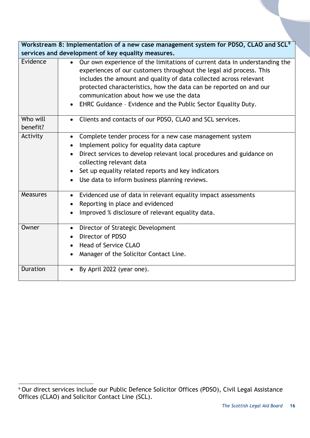| Workstream 8: Implementation of a new case management system for PDSO, CLAO and SCL <sup>9</sup> |                                                                                                                                                                                                                                                                                                                                                                                                                                    |  |
|--------------------------------------------------------------------------------------------------|------------------------------------------------------------------------------------------------------------------------------------------------------------------------------------------------------------------------------------------------------------------------------------------------------------------------------------------------------------------------------------------------------------------------------------|--|
| services and development of key equality measures.                                               |                                                                                                                                                                                                                                                                                                                                                                                                                                    |  |
| Evidence                                                                                         | Our own experience of the limitations of current data in understanding the<br>$\bullet$<br>experiences of our customers throughout the legal aid process. This<br>includes the amount and quality of data collected across relevant<br>protected characteristics, how the data can be reported on and our<br>communication about how we use the data<br>EHRC Guidance - Evidence and the Public Sector Equality Duty.<br>$\bullet$ |  |
| Who will<br>benefit?                                                                             | • Clients and contacts of our PDSO, CLAO and SCL services.                                                                                                                                                                                                                                                                                                                                                                         |  |
| Activity                                                                                         | Complete tender process for a new case management system<br>$\bullet$<br>Implement policy for equality data capture<br>$\bullet$<br>Direct services to develop relevant local procedures and guidance on<br>collecting relevant data<br>Set up equality related reports and key indicators<br>Use data to inform business planning reviews.                                                                                        |  |
| Measures                                                                                         | Evidenced use of data in relevant equality impact assessments<br>$\bullet$<br>Reporting in place and evidenced<br>$\bullet$<br>Improved % disclosure of relevant equality data.<br>$\bullet$                                                                                                                                                                                                                                       |  |
| Owner                                                                                            | Director of Strategic Development<br>$\bullet$<br>Director of PDSO<br><b>Head of Service CLAO</b><br>Manager of the Solicitor Contact Line.                                                                                                                                                                                                                                                                                        |  |
| <b>Duration</b>                                                                                  | By April 2022 (year one).                                                                                                                                                                                                                                                                                                                                                                                                          |  |

<span id="page-15-0"></span>l <sup>9</sup> Our direct services include our Public Defence Solicitor Offices (PDSO), Civil Legal Assistance Offices (CLAO) and Solicitor Contact Line (SCL).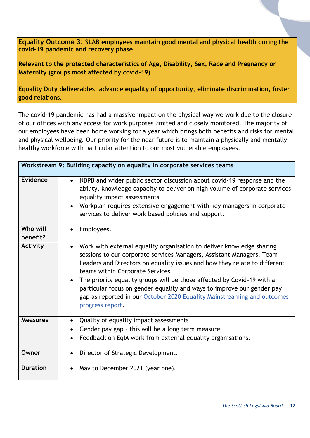**Equality Outcome 3: SLAB employees maintain good mental and physical health during the covid-19 pandemic and recovery phase**

**Relevant to the protected characteristics of Age, Disability, Sex, Race and Pregnancy or Maternity (groups most affected by covid-19)** 

**Equality Duty deliverables**: **advance equality of opportunity, eliminate discrimination, foster good relations.**

The covid-19 pandemic has had a massive impact on the physical way we work due to the closure of our offices with any access for work purposes limited and closely monitored. The majority of our employees have been home working for a year which brings both benefits and risks for mental and physical wellbeing. Our priority for the near future is to maintain a physically and mentally healthy workforce with particular attention to our most vulnerable employees.

| Workstream 9: Building capacity on equality in corporate services teams |                                                                                                                                                                                                                                                                                                                                                                                                                                                                                                                                |
|-------------------------------------------------------------------------|--------------------------------------------------------------------------------------------------------------------------------------------------------------------------------------------------------------------------------------------------------------------------------------------------------------------------------------------------------------------------------------------------------------------------------------------------------------------------------------------------------------------------------|
| <b>Evidence</b>                                                         | NDPB and wider public sector discussion about covid-19 response and the<br>$\bullet$<br>ability, knowledge capacity to deliver on high volume of corporate services<br>equality impact assessments<br>Workplan requires extensive engagement with key managers in corporate<br>services to deliver work based policies and support.                                                                                                                                                                                            |
| Who will<br>benefit?                                                    | Employees.                                                                                                                                                                                                                                                                                                                                                                                                                                                                                                                     |
| <b>Activity</b>                                                         | Work with external equality organisation to deliver knowledge sharing<br>$\bullet$<br>sessions to our corporate services Managers, Assistant Managers, Team<br>Leaders and Directors on equality issues and how they relate to different<br>teams within Corporate Services<br>The priority equality groups will be those affected by Covid-19 with a<br>particular focus on gender equality and ways to improve our gender pay<br>gap as reported in our October 2020 Equality Mainstreaming and outcomes<br>progress report. |
| <b>Measures</b>                                                         | Quality of equality impact assessments<br>$\bullet$<br>Gender pay gap - this will be a long term measure<br>Feedback on EqIA work from external equality organisations.                                                                                                                                                                                                                                                                                                                                                        |
| Owner                                                                   | Director of Strategic Development.<br>$\bullet$                                                                                                                                                                                                                                                                                                                                                                                                                                                                                |
| <b>Duration</b>                                                         | May to December 2021 (year one).                                                                                                                                                                                                                                                                                                                                                                                                                                                                                               |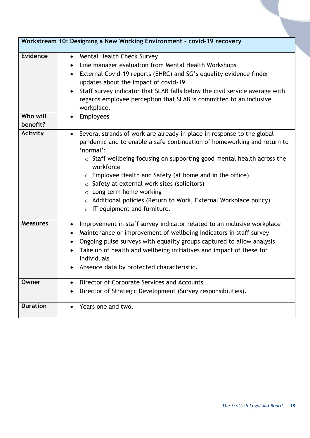<span id="page-17-0"></span>

|                      | Workstream 10: Designing a New Working Environment - covid-19 recovery                                                                                                                                                                                                                                                                                                                                                                                                                                                                      |  |
|----------------------|---------------------------------------------------------------------------------------------------------------------------------------------------------------------------------------------------------------------------------------------------------------------------------------------------------------------------------------------------------------------------------------------------------------------------------------------------------------------------------------------------------------------------------------------|--|
|                      |                                                                                                                                                                                                                                                                                                                                                                                                                                                                                                                                             |  |
| Evidence             | Mental Health Check Survey<br>$\bullet$<br>Line manager evaluation from Mental Health Workshops<br>$\bullet$<br>External Covid-19 reports (EHRC) and SG's equality evidence finder<br>$\bullet$<br>updates about the impact of covid-19<br>Staff survey indicator that SLAB falls below the civil service average with<br>$\bullet$<br>regards employee perception that SLAB is committed to an inclusive<br>workplace.                                                                                                                     |  |
| Who will<br>benefit? | Employees<br>$\bullet$                                                                                                                                                                                                                                                                                                                                                                                                                                                                                                                      |  |
| <b>Activity</b>      | Several strands of work are already in place in response to the global<br>$\bullet$<br>pandemic and to enable a safe continuation of homeworking and return to<br>'normal':<br>o Staff wellbeing focusing on supporting good mental health across the<br>workforce<br>$\circ$ Employee Health and Safety (at home and in the office)<br>$\circ$ Safety at external work sites (solicitors)<br>o Long term home working<br>$\circ$ Additional policies (Return to Work, External Workplace policy)<br>IT equipment and furniture.<br>$\circ$ |  |
| <b>Measures</b>      | Improvement in staff survey indicator related to an inclusive workplace<br>$\bullet$<br>Maintenance or improvement of wellbeing indicators in staff survey<br>$\bullet$<br>Ongoing pulse surveys with equality groups captured to allow analysis<br>$\bullet$<br>Take up of health and wellbeing initiatives and impact of these for<br>$\bullet$<br>individuals<br>Absence data by protected characteristic.                                                                                                                               |  |
| Owner                | Director of Corporate Services and Accounts<br>$\bullet$<br>Director of Strategic Development (Survey responsibilities).                                                                                                                                                                                                                                                                                                                                                                                                                    |  |
| <b>Duration</b>      | Years one and two.<br>$\bullet$                                                                                                                                                                                                                                                                                                                                                                                                                                                                                                             |  |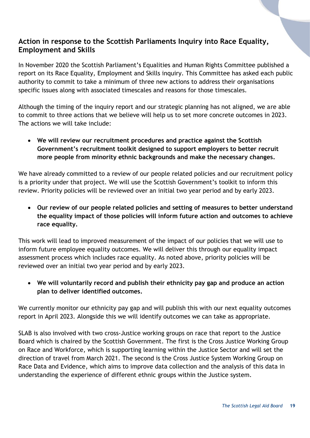#### **Action in response to the Scottish Parliaments Inquiry into Race Equality, Employment and Skills**

In November 2020 the Scottish Parliament's Equalities and Human Rights Committee published a report on its Race Equality, Employment and Skills inquiry. This Committee has asked each public authority to commit to take a minimum of three new actions to address their organisations specific issues along with associated timescales and reasons for those timescales.

Although the timing of the inquiry report and our strategic planning has not aligned, we are able to commit to three actions that we believe will help us to set more concrete outcomes in 2023. The actions we will take include:

 **We will review our recruitment procedures and practice against the Scottish Government's recruitment toolkit designed to support employers to better recruit more people from minority ethnic backgrounds and make the necessary changes.**

We have already committed to a review of our people related policies and our recruitment policy is a priority under that project. We will use the Scottish Government's toolkit to inform this review. Priority policies will be reviewed over an initial two year period and by early 2023.

 **Our review of our people related policies and setting of measures to better understand the equality impact of those policies will inform future action and outcomes to achieve race equality.**

This work will lead to improved measurement of the impact of our policies that we will use to inform future employee equality outcomes. We will deliver this through our equality impact assessment process which includes race equality. As noted above, priority policies will be reviewed over an initial two year period and by early 2023.

 **We will voluntarily record and publish their ethnicity pay gap and produce an action plan to deliver identified outcomes.**

We currently monitor our ethnicity pay gap and will publish this with our next equality outcomes report in April 2023. Alongside this we will identify outcomes we can take as appropriate.

SLAB is also involved with two cross-Justice working groups on race that report to the Justice Board which is chaired by the Scottish Government. The first is the Cross Justice Working Group on Race and Workforce, which is supporting learning within the Justice Sector and will set the direction of travel from March 2021. The second is the Cross Justice System Working Group on Race Data and Evidence, which aims to improve data collection and the analysis of this data in understanding the experience of different ethnic groups within the Justice system.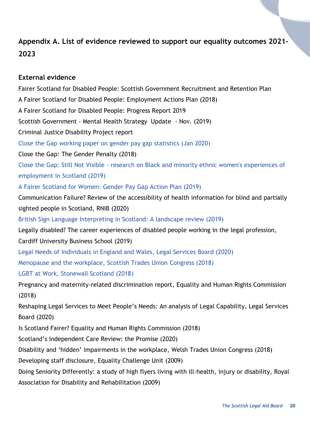#### <span id="page-19-0"></span>**Appendix A. List of evidence reviewed to support our equality outcomes 2021- 2023**

#### **External evidence**

Fairer Scotland for Disabled People: Scottish Government Recruitment and Retention Plan A Fairer Scotland for Disabled People: Employment Actions Plan (2018) A Fairer Scotland for Disabled People: Progress Report 2019 Scottish Government - Mental Health Strategy Update - Nov. (2019) Criminal Justice Disability Project report Close the Gap working paper on gender pay gap statistics (Jan 2020) Close the Gap: The Gender Penalty (2018) Close the Gap: Still Not Visible - research on Black and minority ethnic women's experiences of employment in Scotland (2019) A Fairer Scotland for Women: Gender Pay Gap Action Plan (2019) Communication Failure? Review of the accessibility of health information for blind and partially sighted people in Scotland, RNIB (2020) British Sign Language Interpreting in Scotland: A landscape review (2019) Legally disabled? The career experiences of disabled people working in the legal profession, Cardiff University Business School (2019) [Legal Needs of Individuals in England and Wales, Legal Services Board \(2020\)](https://www.legalservicesboard.org.uk/online-survey-of-individuals-handling-of-legal-issues-in-england-and-wales-2019) Menopause and the workplace, Scottish Trades Union Congress (2018) LGBT at Work, Stonewall Scotland (2018) Pregnancy and maternity-related discrimination report, Equality and Human Rights Commission (2018) Reshaping Legal Services to Meet People's Needs: An analysis of Legal Capability, Legal Services Board (2020) Is Scotland Fairer? Equality and Human Rights Commission (2018) Scotland's Independent Care Review: the Promise (2020) Disability and 'hidden' impairments in the workplace, Welsh Trades Union Congress (2018) Developing staff disclosure, Equality Challenge Unit (2009) Doing Seniority Differently: a study of high flyers living with ill-health, injury or disability, Royal Association for Disability and Rehabilitation (2009)